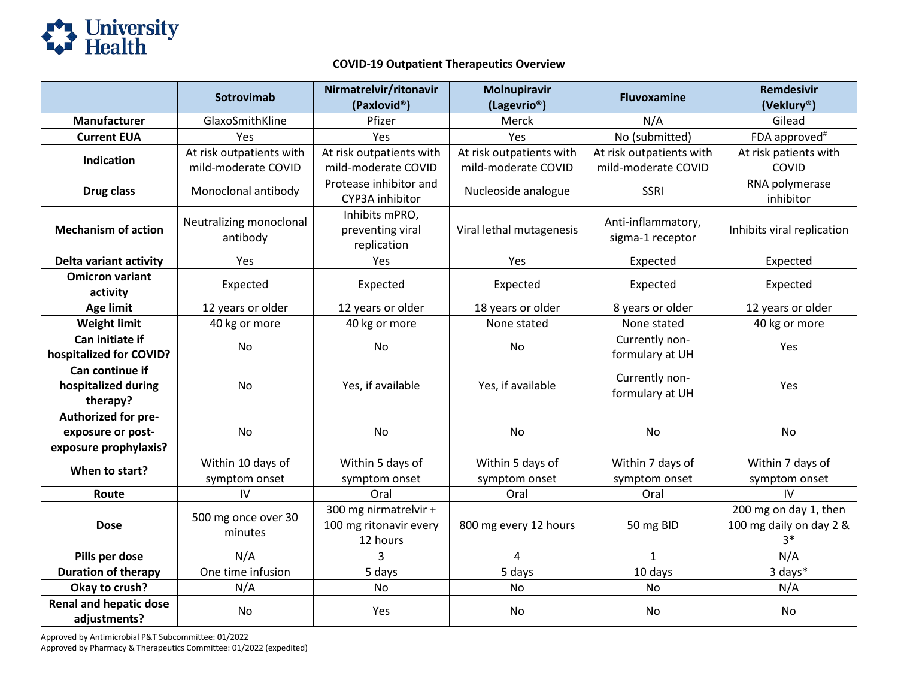

## **COVID-19 Outpatient Therapeutics Overview**

|                                                                   | Sotrovimab                                      | Nirmatrelvir/ritonavir<br>(Paxlovid®)                       | Molnupiravir<br>(Lagevrio <sup>®</sup> )        | <b>Fluvoxamine</b>                              | <b>Remdesivir</b><br>(Veklury®)                          |
|-------------------------------------------------------------------|-------------------------------------------------|-------------------------------------------------------------|-------------------------------------------------|-------------------------------------------------|----------------------------------------------------------|
| <b>Manufacturer</b>                                               | GlaxoSmithKline                                 | Pfizer                                                      | Merck                                           | N/A                                             | Gilead                                                   |
| <b>Current EUA</b>                                                | Yes                                             | Yes                                                         | Yes                                             | No (submitted)                                  | FDA approved <sup>#</sup>                                |
| Indication                                                        | At risk outpatients with<br>mild-moderate COVID | At risk outpatients with<br>mild-moderate COVID             | At risk outpatients with<br>mild-moderate COVID | At risk outpatients with<br>mild-moderate COVID | At risk patients with<br>COVID                           |
| Drug class                                                        | Monoclonal antibody                             | Protease inhibitor and<br>CYP3A inhibitor                   | Nucleoside analogue                             | <b>SSRI</b>                                     | RNA polymerase<br>inhibitor                              |
| <b>Mechanism of action</b>                                        | Neutralizing monoclonal<br>antibody             | Inhibits mPRO,<br>preventing viral<br>replication           | Viral lethal mutagenesis                        | Anti-inflammatory,<br>sigma-1 receptor          | Inhibits viral replication                               |
| <b>Delta variant activity</b>                                     | Yes                                             | Yes                                                         | Yes                                             | Expected                                        | Expected                                                 |
| <b>Omicron variant</b><br>activity                                | Expected                                        | Expected                                                    | Expected                                        | Expected                                        | Expected                                                 |
| <b>Age limit</b>                                                  | 12 years or older                               | 12 years or older                                           | 18 years or older                               | 8 years or older                                | 12 years or older                                        |
| <b>Weight limit</b>                                               | 40 kg or more                                   | 40 kg or more                                               | None stated                                     | None stated                                     | 40 kg or more                                            |
| Can initiate if<br>hospitalized for COVID?                        | No                                              | No                                                          | No                                              | Currently non-<br>formulary at UH               | Yes                                                      |
| Can continue if<br>hospitalized during<br>therapy?                | <b>No</b>                                       | Yes, if available                                           | Yes, if available                               | Currently non-<br>formulary at UH               | Yes                                                      |
| Authorized for pre-<br>exposure or post-<br>exposure prophylaxis? | <b>No</b>                                       | <b>No</b>                                                   | No                                              | <b>No</b>                                       | No                                                       |
| When to start?                                                    | Within 10 days of<br>symptom onset              | Within 5 days of<br>symptom onset                           | Within 5 days of<br>symptom onset               | Within 7 days of<br>symptom onset               | Within 7 days of<br>symptom onset                        |
| Route                                                             | IV                                              | Oral                                                        | Oral                                            | Oral                                            | IV                                                       |
| <b>Dose</b>                                                       | 500 mg once over 30<br>minutes                  | 300 mg nirmatrelvir +<br>100 mg ritonavir every<br>12 hours | 800 mg every 12 hours                           | 50 mg BID                                       | 200 mg on day 1, then<br>100 mg daily on day 2 &<br>$3*$ |
| Pills per dose                                                    | N/A                                             | 3                                                           | 4                                               | $\mathbf{1}$                                    | N/A                                                      |
| <b>Duration of therapy</b>                                        | One time infusion                               | 5 days                                                      | 5 days                                          | 10 days                                         | 3 days*                                                  |
| Okay to crush?                                                    | N/A                                             | No                                                          | No                                              | No                                              | N/A                                                      |
| <b>Renal and hepatic dose</b><br>adjustments?                     | No                                              | Yes                                                         | No                                              | No                                              | No                                                       |

Approved by Antimicrobial P&T Subcommittee: 01/2022

Approved by Pharmacy & Therapeutics Committee: 01/2022 (expedited)